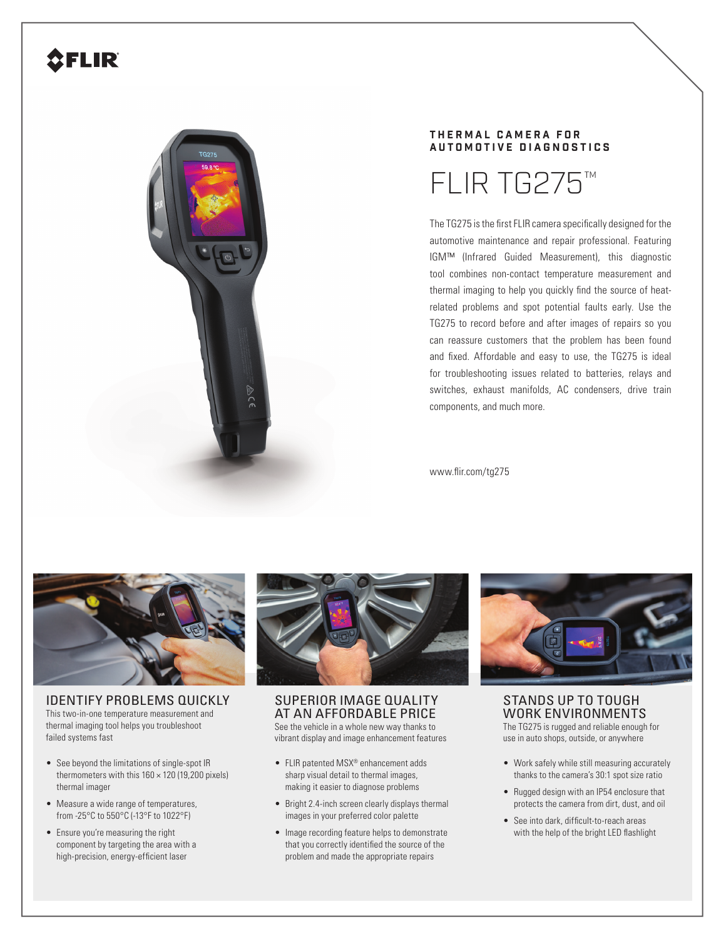## **SFLIR**



## **T H E R M A L C A M E R A F O R AUTOMOTIVE DIAGNOSTICS**



The TG275 is the first FLIR camera specifically designed for the automotive maintenance and repair professional. Featuring IGM™ (Infrared Guided Measurement), this diagnostic tool combines non-contact temperature measurement and thermal imaging to help you quickly find the source of heatrelated problems and spot potential faults early. Use the TG275 to record before and after images of repairs so you can reassure customers that the problem has been found and fixed. Affordable and easy to use, the TG275 is ideal for troubleshooting issues related to batteries, relays and switches, exhaust manifolds, AC condensers, drive train components, and much more.

www.flir.com/tg275



IDENTIFY PROBLEMS QUICKLY This two-in-one temperature measurement and thermal imaging tool helps you troubleshoot failed systems fast

- See beyond the limitations of single-spot IR thermometers with this  $160 \times 120$  (19,200 pixels) thermal imager
- Measure a wide range of temperatures, from -25°C to 550°C (-13°F to 1022°F)
- Ensure you're measuring the right component by targeting the area with a high-precision, energy-efficient laser



SUPERIOR IMAGE QUALITY AT AN AFFORDABLE PRICE See the vehicle in a whole new way thanks to vibrant display and image enhancement features

- FLIR patented MSX® enhancement adds sharp visual detail to thermal images, making it easier to diagnose problems
- Bright 2.4-inch screen clearly displays thermal images in your preferred color palette
- Image recording feature helps to demonstrate that you correctly identified the source of the problem and made the appropriate repairs



STANDS UP TO TOUGH WORK ENVIRONMENTS The TG275 is rugged and reliable enough for

use in auto shops, outside, or anywhere

- Work safely while still measuring accurately thanks to the camera's 30:1 spot size ratio
- Rugged design with an IP54 enclosure that protects the camera from dirt, dust, and oil
- See into dark, difficult-to-reach areas with the help of the bright LED flashlight